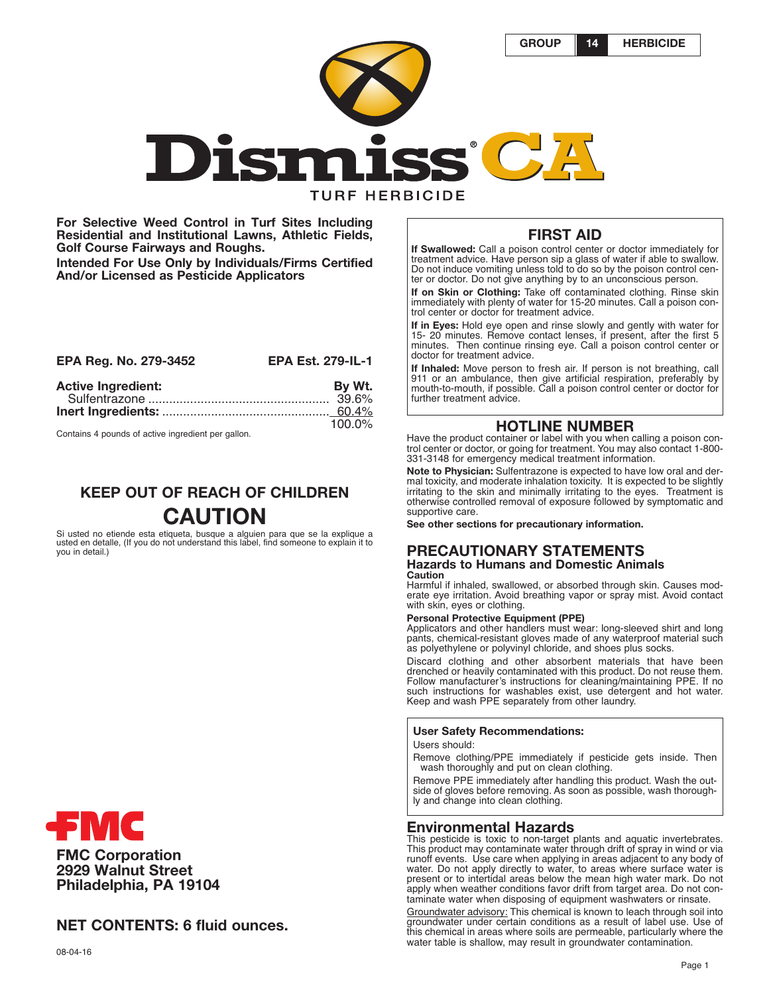**GROUP 14 HERBICIDE**



**For Selective Weed Control in Turf Sites Including Residential and Institutional Lawns, Athletic Fields, Golf Course Fairways and Roughs. Intended For Use Only by Individuals/Firms Certified And/or Licensed as Pesticide Applicators**

| EPA Reg. No. 279-3452     | <b>EPA Est. 279-IL-1</b> |
|---------------------------|--------------------------|
| <b>Active Ingredient:</b> | By Wt.                   |
|                           | $100.0\%$                |

Contains 4 pounds of active ingredient per gallon.

# **KEEP OUT OF REACH OF CHILDREN CAUTION**

Si usted no etiende esta etiqueta, busque a alguien para que se la explique a usted en detaile, (If you do not understand this label, find someone to explain it to you in detail.)

# **FMC Corporation 2929 Walnut Street Philadelphia, PA 19104**

# **NET CONTENTS: 6 fluid ounces.**

# **FIRST AID**

**If Swallowed:** Call a poison control center or doctor immediately for treatment advice. Have person sip a glass of water if able to swallow. Do not induce vomiting unless told to do so by the poison control center or doctor. Do not give anything by to an unconscious person.

**If on Skin or Clothing:** Take off contaminated clothing. Rinse skin immediately with plenty of water for 15-20 minutes. Call a poison control center or doctor for treatment advice.

**If in Eyes:** Hold eye open and rinse slowly and gently with water for 15- 20 minutes. Remove contact lenses, if present, after the first 5 minutes. Then continue rinsing eye. Call a poison control center or doctor for treatment advice.

**If Inhaled:** Move person to fresh air. If person is not breathing, call 911 or an ambulance, then give artificial respiration, preferably by mouth-to-mouth, if possible. Call a poison control center or doctor for further treatment advice.

# **HOTLINE NUMBER**

Have the product container or label with you when calling a poison control center or doctor, or going for treatment. You may also contact 1-800- 331-3148 for emergency medical treatment information.

**Note to Physician:** Sulfentrazone is expected to have low oral and dermal toxicity, and moderate inhalation toxicity. It is expected to be slightly irritating to the skin and minimally irritating to the eyes. Treatment is otherwise controlled removal of exposure followed by symptomatic and supportive care.

**See other sections for precautionary information.**

#### **PRECAUTIONARY STATEMENTS Hazards to Humans and Domestic Animals Caution**

Harmful if inhaled, swallowed, or absorbed through skin. Causes moderate eye irritation. Avoid breathing vapor or spray mist. Avoid contact with skin, eyes or clothing.

### **Personal Protective Equipment (PPE)**

Applicators and other handlers must wear: long-sleeved shirt and long pants, chemical-resistant gloves made of any waterproof material such

as polyethylene or polyvinyl chloride, and shoes plus socks.<br>Discard clothing and other absorbent materials that have been drenched or heavily contaminated with this product. Do not reuse them. Follow manufacturer's instructions for cleaning/maintaining PPE. If no such instructions for washables exist, use detergent and hot water. Keep and wash PPE separately from other laundry.

### **User Safety Recommendations:**

Users should:

Remove clothing/PPE immediately if pesticide gets inside. Then wash thoroughly and put on clean clothing.

Remove PPE immediately after handling this product. Wash the outside of gloves before removing. As soon as possible, wash thoroughly and change into clean clothing.

### **Environmental Hazards**

This pesticide is toxic to non-target plants and aquatic invertebrates. This product may contaminate water through drift of spray in wind or via runoff events. Use care when applying in areas adjacent to any body of water. Do not apply directly to water, to areas where surface water is present or to intertidal areas below the mean high water mark. Do not apply when weather conditions favor drift from target area. Do not contaminate water when disposing of equipment washwaters or rinsate.

Groundwater advisory: This chemical is known to leach through soil into groundwater under certain conditions as a result of label use. Use of this chemical in areas where soils are permeable, particularly where the water table is shallow, may result in groundwater contamination.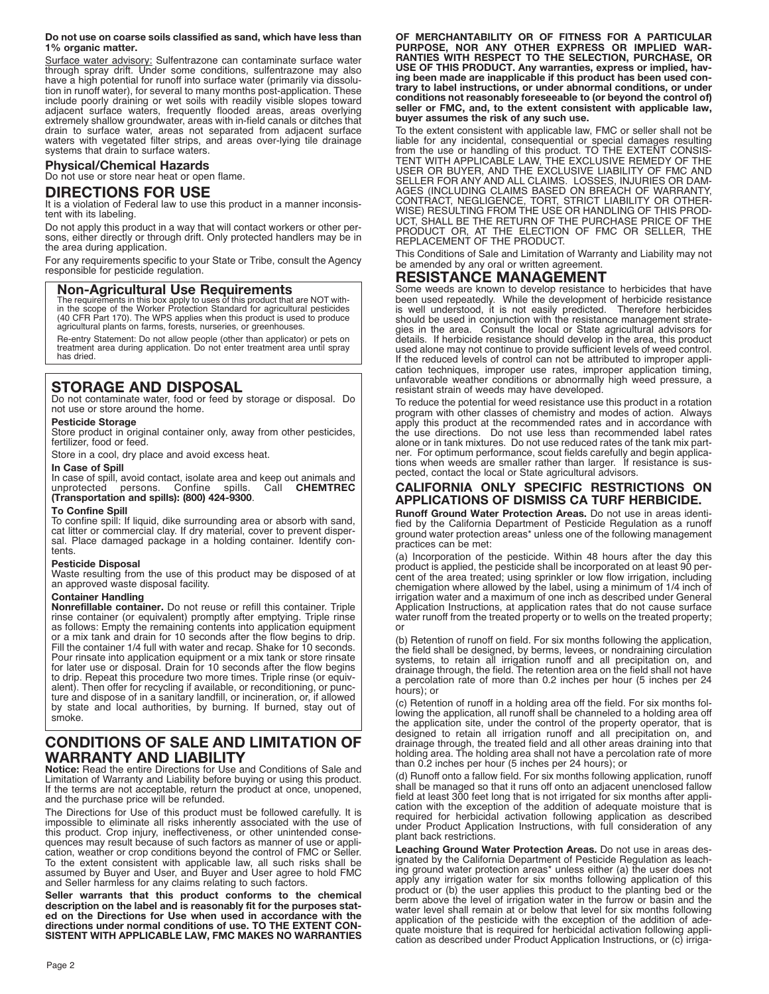#### **Do not use on coarse soils classified as sand, which have less than 1% organic matter.**

Surface water advisory: Sulfentrazone can contaminate surface water through spray drift. Under some conditions, sulfentrazone may also have a high potential for runoff into surface water (primarily via dissolution in runoff water), for several to many months post-application. These include poorly draining or wet soils with readily visible slopes toward adjacent surface waters, frequently flooded areas, areas overlying extremely shallow groundwater, areas with in-field canals or ditches that drain to surface water, areas not separated from adjacent surface waters with vegetated filter strips, and areas over-lying tile drainage systems that drain to surface waters.

# **Physical/Chemical Hazards**

Do not use or store near heat or open flame.

### **DIRECTIONS FOR USE**

It is a violation of Federal law to use this product in a manner inconsistent with its labeling.

Do not apply this product in a way that will contact workers or other persons, either directly or through drift. Only protected handlers may be in the area during application.

For any requirements specific to your State or Tribe, consult the Agency responsible for pesticide regulation.

### **Non-Agricultural Use Requirements**

The requirements in this box apply to uses of this product that are NOT with-in the scope of the Worker Protection Standard for agricultural pesticides (40 CFR Part 170). The WPS applies when this product is used to produce agricultural plants on farms, forests, nurseries, or greenhouses.

Re-entry Statement: Do not allow people (other than applicator) or pets on treatment area during application. Do not enter treatment area until spray has dried.

# **STORAGE AND DISPOSAL**

Do not contaminate water, food or feed by storage or disposal. Do not use or store around the home.

### **Pesticide Storage**

Store product in original container only, away from other pesticides, fertilizer, food or feed.

Store in a cool, dry place and avoid excess heat.

#### **In Case of Spill**

In case of spill, avoid contact, isolate area and keep out animals and unprotected persons. Confine spills. Call **CHEMTREC (Transportation and spills): (800) 424-9300**.

#### **To Confine Spill**

To confine spill: If liquid, dike surrounding area or absorb with sand, cat litter or commercial clay. If dry material, cover to prevent dispersal. Place damaged package in a holding container. Identify contents.

#### **Pesticide Disposal**

Waste resulting from the use of this product may be disposed of at an approved waste disposal facility.

### **Container Handling**

**Nonrefillable container.** Do not reuse or refill this container. Triple rinse container (or equivalent) promptly after emptying. Triple rinse as follows: Empty the remaining contents into application equipment or a mix tank and drain for 10 seconds after the flow begins to drip. Fill the container 1/4 full with water and recap. Shake for 10 seconds. Pour rinsate into application equipment or a mix tank or store rinsate for later use or disposal. Drain for 10 seconds after the flow begins to drip. Repeat this procedure two more times. Triple rinse (or equivalent). Then offer for recycling if available, or reconditioning, or puncture and dispose of in a sanitary landfill, or incineration, or, if allowed by state and local authorities, by burning. If burned, stay out of smoke.

# **CONDITIONS OF SALE AND LIMITATION OF WARRANTY AND LIABILITY**

**Notice:** Read the entire Directions for Use and Conditions of Sale and Limitation of Warranty and Liability before buying or using this product. If the terms are not acceptable, return the product at once, unopened, and the purchase price will be refunded.

The Directions for Use of this product must be followed carefully. It is impossible to eliminate all risks inherently associated with the use of this product. Crop injury, ineffectiveness, or other unintended consequences may result because of such factors as manner of use or application, weather or crop conditions beyond the control of FMC or Seller. To the extent consistent with applicable law, all such risks shall be assumed by Buyer and User, and Buyer and User agree to hold FMC and Seller harmless for any claims relating to such factors.

**Seller warrants that this product conforms to the chemical description on the label and is reasonably fit for the purposes stated on the Directions for Use when used in accordance with the directions under normal conditions of use. TO THE EXTENT CON-SISTENT WITH APPLICABLE LAW, FMC MAKES NO WARRANTIES**

**OF MERCHANTABILITY OR OF FITNESS FOR A PARTICULAR PURPOSE, NOR ANY OTHER EXPRESS OR IMPLIED WAR-RANTIES WITH RESPECT TO THE SELECTION, PURCHASE, OR USE OF THIS PRODUCT. Any warranties, express or implied, having been made are inapplicable if this product has been used contrary to label instructions, or under abnormal conditions, or under conditions not reasonably foreseeable to (or beyond the control of) seller or FMC, and, to the extent consistent with applicable law, buyer assumes the risk of any such use.**

To the extent consistent with applicable law, FMC or seller shall not be liable for any incidental, consequential or special damages resulting from the use or handling of this product. TO THE EXTENT CONSIS-TENT WITH APPLICABLE LAW, THE EXCLUSIVE REMEDY OF THE USER OR BUYER, AND THE EXCLUSIVE LIABILITY OF FMC AND SELLER FOR ANY AND ALL CLAIMS. LOSSES, INJURIES OR DAM-AGES (INCLUDING CLAIMS BASED ON BREACH OF WARRANTY, CONTRACT, NEGLIGENCE, TORT, STRICT LIABILITY OR OTHER-WISE) RESULTING FROM THE USE OR HANDLING OF THIS PROD-UCT, SHALL BE THE RETURN OF THE PURCHASE PRICE OF THE PRODUCT OR, AT THE ELECTION OF FMC OR SELLER, THE REPLACEMENT OF THE PRODUCT.

This Conditions of Sale and Limitation of Warranty and Liability may not be amended by any oral or written agreement.

# **RESISTANCE MANAGEMENT**

Some weeds are known to develop resistance to herbicides that have been used repeatedly. While the development of herbicide resistance is well understood, it is not easily predicted. Therefore herbicides should be used in conjunction with the resistance management strategies in the area. Consult the local or State agricultural advisors for details. If herbicide resistance should develop in the area, this product used alone may not continue to provide sufficient levels of weed control. If the reduced levels of control can not be attributed to improper application techniques, improper use rates, improper application timing, unfavorable weather conditions or abnormally high weed pressure, a resistant strain of weeds may have developed.

To reduce the potential for weed resistance use this product in a rotation program with other classes of chemistry and modes of action. Always apply this product at the recommended rates and in accordance with the use directions. Do not use less than recommended label rates alone or in tank mixtures. Do not use reduced rates of the tank mix partner. For optimum performance, scout fields carefully and begin applications when weeds are smaller rather than larger. If resistance is suspected, contact the local or State agricultural advisors.

### **CALIFORNIA ONLY SPECIFIC RESTRICTIONS ON APPLICATIONS OF DISMISS CA TURF HERBICIDE.**

**Runoff Ground Water Protection Areas.** Do not use in areas identified by the California Department of Pesticide Regulation as a runoff ground water protection areas\* unless one of the following management practices can be met:

(a) Incorporation of the pesticide. Within 48 hours after the day this product is applied, the pesticide shall be incorporated on at least 90 percent of the area treated; using sprinkler or low flow irrigation, including chemigation where allowed by the label, using a minimum of 1/4 inch of irrigation water and a maximum of one inch as described under General Application Instructions, at application rates that do not cause surface water runoff from the treated property or to wells on the treated property; or

(b) Retention of runoff on field. For six months following the application, the field shall be designed, by berms, levees, or nondraining circulation systems, to retain all irrigation runoff and all precipitation on, and drainage through, the field. The retention area on the field shall not have a percolation rate of more than 0.2 inches per hour (5 inches per 24 hours); or

(c) Retention of runoff in a holding area off the field. For six months following the application, all runoff shall be channeled to a holding area off the application site, under the control of the property operator, that is designed to retain all irrigation runoff and all precipitation on, and drainage through, the treated field and all other areas draining into that holding area. The holding area shall not have a percolation rate of more than 0.2 inches per hour (5 inches per 24 hours); or

(d) Runoff onto a fallow field. For six months following application, runoff shall be managed so that it runs off onto an adjacent unenclosed fallow field at least 300 feet long that is not irrigated for six months after application with the exception of the addition of adequate moisture that is required for herbicidal activation following application as described under Product Application Instructions, with full consideration of any plant back restrictions.

**Leaching Ground Water Protection Areas.** Do not use in areas designated by the California Department of Pesticide Regulation as leaching ground water protection areas\* unless either (a) the user does not apply any irrigation water for six months following application of this product or (b) the user applies this product to the planting bed or the berm above the level of irrigation water in the furrow or basin and the water level shall remain at or below that level for six months following application of the pesticide with the exception of the addition of adequate moisture that is required for herbicidal activation following application as described under Product Application Instructions, or (c) irriga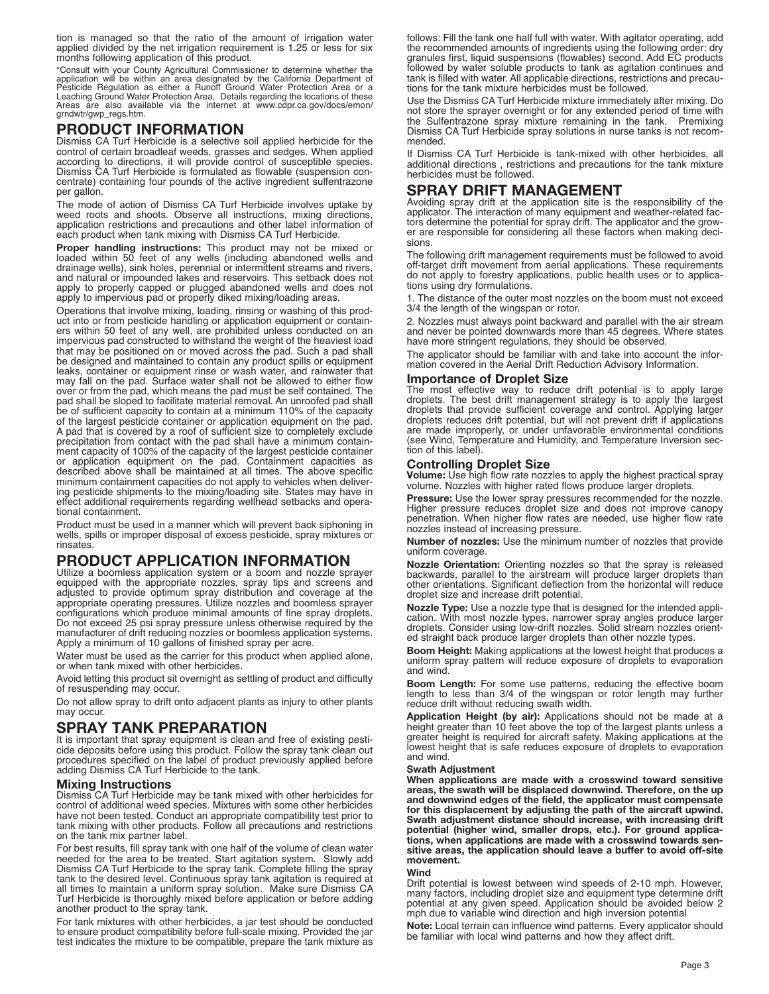tion is managed so that the ratio of the amount of irrigation water applied divided by the net irrigation requirement is 1.25 or less for six months following application of this product.

"Consult with your County Agricultural Commissioner to determine whether the<br>application will be within an area designated by the California Department of<br>Pesticide Regulation as either a Runoff Ground Water Protection Are Areas are also available via the internet at www.cdpr.ca.gov/docs/emon/ grndwtr/gwp\_regs.htm.

# **PRODUCT INFORMATION**

Dismiss CA Turf Herbicide is a selective soil applied herbicide for the control of certain broadleaf weeds, grasses and sedges. When applied according to directions, it will provide control of susceptible species. Dismiss CA Turf Herbicide is formulated as flowable (suspension concentrate) containing four pounds of the active ingredient sulfentrazone per gallon.

The mode of action of Dismiss CA Turf Herbicide involves uptake by weed roots and shoots. Observe all instructions, mixing directions, application restrictions and precautions and other label information of each product when tank mixing with Dismiss CA Turf Herbicide.

**Proper handling instructions:** This product may not be mixed or loaded within 50 feet of any wells (including abandoned wells and drainage wells), sink holes, perennial or intermittent streams and rivers, and natural or impounded lakes and reservoirs. This setback does not apply to properly capped or plugged abandoned wells and does not apply to impervious pad or properly diked mixing/loading areas.

Operations that involve mixing, loading, rinsing or washing of this product into or from pesticide handling or application equipment or containers within 50 feet of any well, are prohibited unless conducted on an impervious pad constructed to withstand the weight of the heaviest load that may be positioned on or moved across the pad. Such a pad shall be designed and maintained to contain any product spills or equipment leaks, container or equipment rinse or wash water, and rainwater that may fall on the pad. Surface water shall not be allowed to either flow over or from the pad, which means the pad must be self contained. The pad shall be sloped to facilitate material removal. An unroofed pad shall be of sufficient capacity to contain at a minimum 110% of the capacity of the largest pesticide container or application equipment on the pad. A pad that is covered by a roof of sufficient size to completely exclude precipitation from contact with the pad shall have a minimum containment capacity of 100% of the capacity of the largest pesticide container or application equipment on the pad. Containment capacities as described above shall be maintained at all times. The above specific minimum containment capacities do not apply to vehicles when delivering pesticide shipments to the mixing/loading site. States may have in effect additional requirements regarding wellhead setbacks and operational containment.

Product must be used in a manner which will prevent back siphoning in wells, spills or improper disposal of excess pesticide, spray mixtures or rinsates.

# **PRODUCT APPLICATION INFORMATION**

Utilize a boomless application system or a boom and nozzle sprayer equipped with the appropriate nozzles, spray tips and screens and adjusted to provide optimum spray distribution and coverage at the appropriate operating pressures. Utilize nozzles and boomless sprayer configurations which produce minimal amounts of fine spray droplets. Do not exceed 25 psi spray pressure unless otherwise required by the manufacturer of drift reducing nozzles or boomless application systems. Apply a minimum of 10 gallons of finished spray per acre.

Water must be used as the carrier for this product when applied alone, or when tank mixed with other herbicides.

Avoid letting this product sit overnight as settling of product and difficulty of resuspending may occur.

Do not allow spray to drift onto adjacent plants as injury to other plants may occur.

# **SPRAY TANK PREPARATION**

It is important that spray equipment is clean and free of existing pesticide deposits before using this product. Follow the spray tank clean out procedures specified on the label of product previously applied before adding Dismiss CA Turf Herbicide to the tank.

#### **Mixing Instructions**

Dismiss CA Turf Herbicide may be tank mixed with other herbicides for control of additional weed species. Mixtures with some other herbicides have not been tested. Conduct an appropriate compatibility test prior to tank mixing with other products. Follow all precautions and restrictions on the tank mix partner label.

For best results, fill spray tank with one half of the volume of clean water needed for the area to be treated. Start agitation system. Slowly add Dismiss CA Turf Herbicide to the spray tank. Complete filling the spray tank to the desired level. Continuous spray tank agitation is required at all times to maintain a uniform spray solution. Make sure Dismiss CA Turf Herbicide is thoroughly mixed before application or before adding another product to the spray tank.

For tank mixtures with other herbicides, a jar test should be conducted to ensure product compatibility before full-scale mixing. Provided the jar test indicates the mixture to be compatible, prepare the tank mixture as follows: Fill the tank one half full with water. With agitator operating, add the recommended amounts of ingredients using the following order: dry granules first, liquid suspensions (flowables) second. Add EC products followed by water soluble products to tank as agitation continues and tank is filled with water. All applicable directions, restrictions and precautions for the tank mixture herbicides must be followed.

Use the Dismiss CA Turf Herbicide mixture immediately after mixing. Do not store the sprayer overnight or for any extended period of time with the Sulfentrazone spray mixture remaining in the tank. Premixing Dismiss CA Turf Herbicide spray solutions in nurse tanks is not recommended.

If Dismiss CA Turf Herbicide is tank-mixed with other herbicides, all additional directions , restrictions and precautions for the tank mixture herbicides must be followed.

# **SPRAY DRIFT MANAGEMENT**

Avoiding spray drift at the application site is the responsibility of the applicator. The interaction of many equipment and weather-related factors determine the potential for spray drift. The applicator and the grower are responsible for considering all these factors when making decisions.

The following drift management requirements must be followed to avoid off-target drift movement from aerial applications. These requirements do not apply to forestry applications, public health uses or to applications using dry formulations.

1. The distance of the outer most nozzles on the boom must not exceed 3/4 the length of the wingspan or rotor.

2. Nozzles must always point backward and parallel with the air stream and never be pointed downwards more than 45 degrees. Where states have more stringent regulations, they should be observed.

The applicator should be familiar with and take into account the information covered in the Aerial Drift Reduction Advisory Information.

### **Importance of Droplet Size**

The most effective way to reduce drift potential is to apply large droplets. The best drift management strategy is to apply the largest droplets that provide sufficient coverage and control. Applying larger droplets reduces drift potential, but will not prevent drift if applications are made improperly, or under unfavorable environmental conditions (see Wind, Temperature and Humidity, and Temperature Inversion section of this label).

### **Controlling Droplet Size**

**Volume:** Use high flow rate nozzles to apply the highest practical spray volume. Nozzles with higher rated flows produce larger droplets.

**Pressure:** Use the lower spray pressures recommended for the nozzle. Higher pressure reduces droplet size and does not improve canopy penetration. When higher flow rates are needed, use higher flow rate nozzles instead of increasing pressure.

**Number of nozzles:** Use the minimum number of nozzles that provide uniform coverage.

**Nozzle Orientation:** Orienting nozzles so that the spray is released backwards, parallel to the airstream will produce larger droplets than other orientations. Significant deflection from the horizontal will reduce droplet size and increase drift potential.

**Nozzle Type:** Use a nozzle type that is designed for the intended application. With most nozzle types, narrower spray angles produce larger droplets. Consider using low-drift nozzles. Solid stream nozzles oriented straight back produce larger droplets than other nozzle types.

**Boom Height:** Making applications at the lowest height that produces a uniform spray pattern will reduce exposure of droplets to evaporation and wind.

**Boom Length:** For some use patterns, reducing the effective boom length to less than 3/4 of the wingspan or rotor length may further reduce drift without reducing swath width.

**Application Height (by air):** Applications should not be made at a height greater than 10 feet above the top of the largest plants unless a greater height is required for aircraft safety. Making applications at the lowest height that is safe reduces exposure of droplets to evaporation and wind.

#### **Swath Adjustment**

**When applications are made with a crosswind toward sensitive areas, the swath will be displaced downwind. Therefore, on the up and downwind edges of the field, the applicator must compensate for this displacement by adjusting the path of the aircraft upwind. Swath adjustment distance should increase, with increasing drift potential (higher wind, smaller drops, etc.). For ground applications, when applications are made with a crosswind towards sensitive areas, the application should leave a buffer to avoid off-site movement.**

#### **Wind**

Drift potential is lowest between wind speeds of 2-10 mph. However, many factors, including droplet size and equipment type determine drift potential at any given speed. Application should be avoided below 2 mph due to variable wind direction and high inversion potential

**Note:** Local terrain can influence wind patterns. Every applicator should be familiar with local wind patterns and how they affect drift.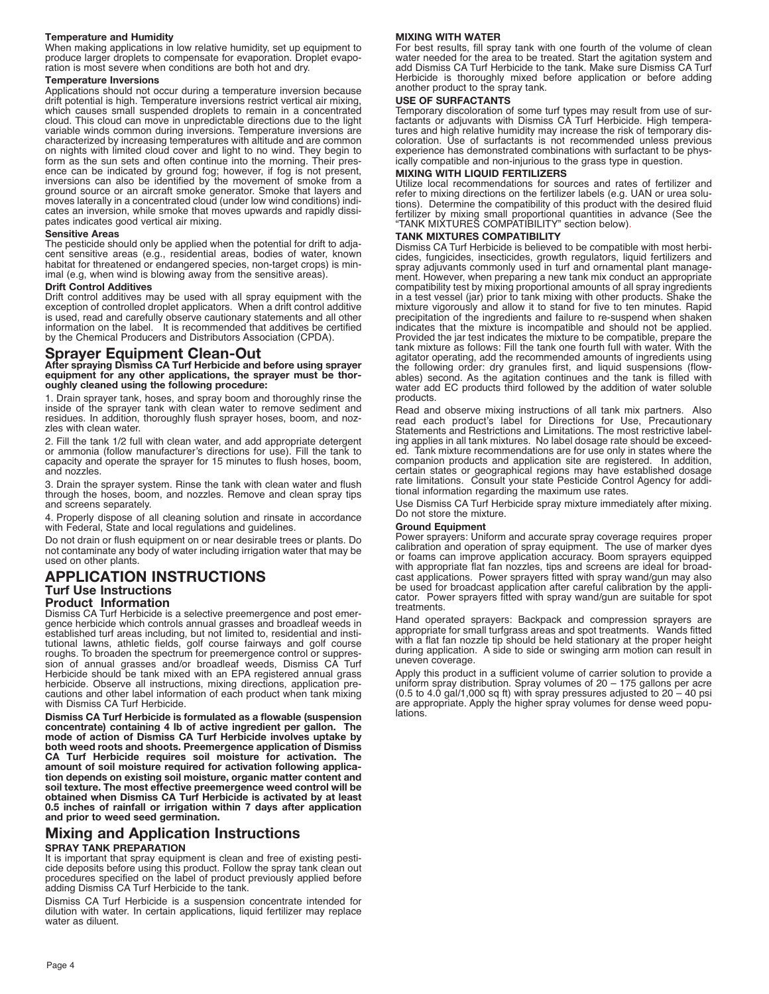#### **Temperature and Humidity**

When making applications in low relative humidity, set up equipment to produce larger droplets to compensate for evaporation. Droplet evaporation is most severe when conditions are both hot and dry.

#### **Temperature Inversions**

Applications should not occur during a temperature inversion because drift potential is high. Temperature inversions restrict vertical air mixing, which causes small suspended droplets to remain in a concentrated cloud. This cloud can move in unpredictable directions due to the light variable winds common during inversions. Temperature inversions are characterized by increasing temperatures with altitude and are common on nights with limited cloud cover and light to no wind. They begin to form as the sun sets and often continue into the morning. Their presence can be indicated by ground fog; however, if fog is not present, inversions can also be identified by the movement of smoke from a ground source or an aircraft smoke generator. Smoke that layers and moves laterally in a concentrated cloud (under low wind conditions) indicates an inversion, while smoke that moves upwards and rapidly dissipates indicates good vertical air mixing.

#### **Sensitive Areas**

The pesticide should only be applied when the potential for drift to adjacent sensitive areas (e.g., residential areas, bodies of water, known habitat for threatened or endangered species, non-target crops) is minimal (e.g, when wind is blowing away from the sensitive areas).

#### **Drift Control Additives**

Drift control additives may be used with all spray equipment with the exception of controlled droplet applicators. When a drift control additive is used, read and carefully observe cautionary statements and all other information on the label. It is recommended that additives be certified by the Chemical Producers and Distributors Association (CPDA).

### **Sprayer Equipment Clean-Out**

**After spraying Dismiss CA Turf Herbicide and before using sprayer equipment for any other applications, the sprayer must be thoroughly cleaned using the following procedure:**

1. Drain sprayer tank, hoses, and spray boom and thoroughly rinse the inside of the sprayer tank with clean water to remove sediment and residues. In addition, thoroughly flush sprayer hoses, boom, and nozzles with clean water.

2. Fill the tank 1/2 full with clean water, and add appropriate detergent or ammonia (follow manufacturer's directions for use). Fill the tank to capacity and operate the sprayer for 15 minutes to flush hoses, boom, and nozzles.

3. Drain the sprayer system. Rinse the tank with clean water and flush through the hoses, boom, and nozzles. Remove and clean spray tips and screens separately.

4. Properly dispose of all cleaning solution and rinsate in accordance with Federal, State and local regulations and guidelines.

Do not drain or flush equipment on or near desirable trees or plants. Do not contaminate any body of water including irrigation water that may be used on other plants.

### **APPLICATION INSTRUCTIONS Turf Use Instructions**

#### **Product Information**

Dismiss CA Turf Herbicide is a selective preemergence and post emergence herbicide which controls annual grasses and broadleaf weeds in established turf areas including, but not limited to, residential and institutional lawns, athletic fields, golf course fairways and golf course roughs. To broaden the spectrum for preemergence control or suppression of annual grasses and/or broadleaf weeds, Dismiss CA Turf Herbicide should be tank mixed with an EPA registered annual grass herbicide. Observe all instructions, mixing directions, application precautions and other label information of each product when tank mixing with Dismiss CA Turf Herbicide.

**Dismiss CA Turf Herbicide is formulated as a flowable (suspension concentrate) containing 4 lb of active ingredient per gallon. The mode of action of Dismiss CA Turf Herbicide involves uptake by both weed roots and shoots. Preemergence application of Dismiss CA Turf Herbicide requires soil moisture for activation. The amount of soil moisture required for activation following application depends on existing soil moisture, organic matter content and soil texture. The most effective preemergence weed control will be obtained when Dismiss CA Turf Herbicide is activated by at least 0.5 inches of rainfall or irrigation within 7 days after application and prior to weed seed germination.**

# **Mixing and Application Instructions**

#### **SPRAY TANK PREPARATION**

It is important that spray equipment is clean and free of existing pesticide deposits before using this product. Follow the spray tank clean out procedures specified on the label of product previously applied before adding Dismiss CA Turf Herbicide to the tank.

Dismiss CA Turf Herbicide is a suspension concentrate intended for dilution with water. In certain applications, liquid fertilizer may replace water as diluent.

#### **MIXING WITH WATER**

For best results, fill spray tank with one fourth of the volume of clean water needed for the area to be treated. Start the agitation system and add Dismiss CA Turf Herbicide to the tank. Make sure Dismiss CA Turf Herbicide is thoroughly mixed before application or before adding another product to the spray tank.

#### **USE OF SURFACTANTS**

Temporary discoloration of some turf types may result from use of surfactants or adjuvants with Dismiss CA Turf Herbicide. High temperatures and high relative humidity may increase the risk of temporary discoloration. Use of surfactants is not recommended unless previous experience has demonstrated combinations with surfactant to be physically compatible and non-injurious to the grass type in question.

#### **MIXING WITH LIQUID FERTILIZERS**

Utilize local recommendations for sources and rates of fertilizer and refer to mixing directions on the fertilizer labels (e.g. UAN or urea solutions). Determine the compatibility of this product with the desired fluid fertilizer by mixing small proportional quantities in advance (See the "TANK MIXTURES COMPATIBILITY" section below).

#### **TANK MIXTURES COMPATIBILITY**

Dismiss CA Turf Herbicide is believed to be compatible with most herbicides, fungicides, insecticides, growth regulators, liquid fertilizers and spray adjuvants commonly used in turf and ornamental plant management. However, when preparing a new tank mix conduct an appropriate compatibility test by mixing proportional amounts of all spray ingredients in a test vessel (jar) prior to tank mixing with other products. Shake the mixture vigorously and allow it to stand for five to ten minutes. Rapid precipitation of the ingredients and failure to re-suspend when shaken indicates that the mixture is incompatible and should not be applied. Provided the jar test indicates the mixture to be compatible, prepare the tank mixture as follows: Fill the tank one fourth full with water. With the agitator operating, add the recommended amounts of ingredients using the following order: dry granules first, and liquid suspensions (flowables) second. As the agitation continues and the tank is filled with water add EC products third followed by the addition of water soluble products.

Read and observe mixing instructions of all tank mix partners. Also read each product's label for Directions for Use, Precautionary Statements and Restrictions and Limitations. The most restrictive labeling applies in all tank mixtures. No label dosage rate should be exceeded. Tank mixture recommendations are for use only in states where the companion products and application site are registered. In addition, certain states or geographical regions may have established dosage rate limitations. Consult your state Pesticide Control Agency for additional information regarding the maximum use rates.

Use Dismiss CA Turf Herbicide spray mixture immediately after mixing. Do not store the mixture.

#### **Ground Equipment**

Power sprayers: Uniform and accurate spray coverage requires proper calibration and operation of spray equipment. The use of marker dyes or foams can improve application accuracy. Boom sprayers equipped with appropriate flat fan nozzles, tips and screens are ideal for broadcast applications. Power sprayers fitted with spray wand/gun may also be used for broadcast application after careful calibration by the applicator. Power sprayers fitted with spray wand/gun are suitable for spot treatments.

Hand operated sprayers: Backpack and compression sprayers are appropriate for small turfgrass areas and spot treatments. Wands fitted with a flat fan nozzle tip should be held stationary at the proper height during application. A side to side or swinging arm motion can result in uneven coverage.

Apply this product in a sufficient volume of carrier solution to provide a uniform spray distribution. Spray volumes of 20 – 175 gallons per acre (0.5 to 4.0 gal/1,000 sq ft) with spray pressures adjusted to 20 – 40 psi are appropriate. Apply the higher spray volumes for dense weed populations.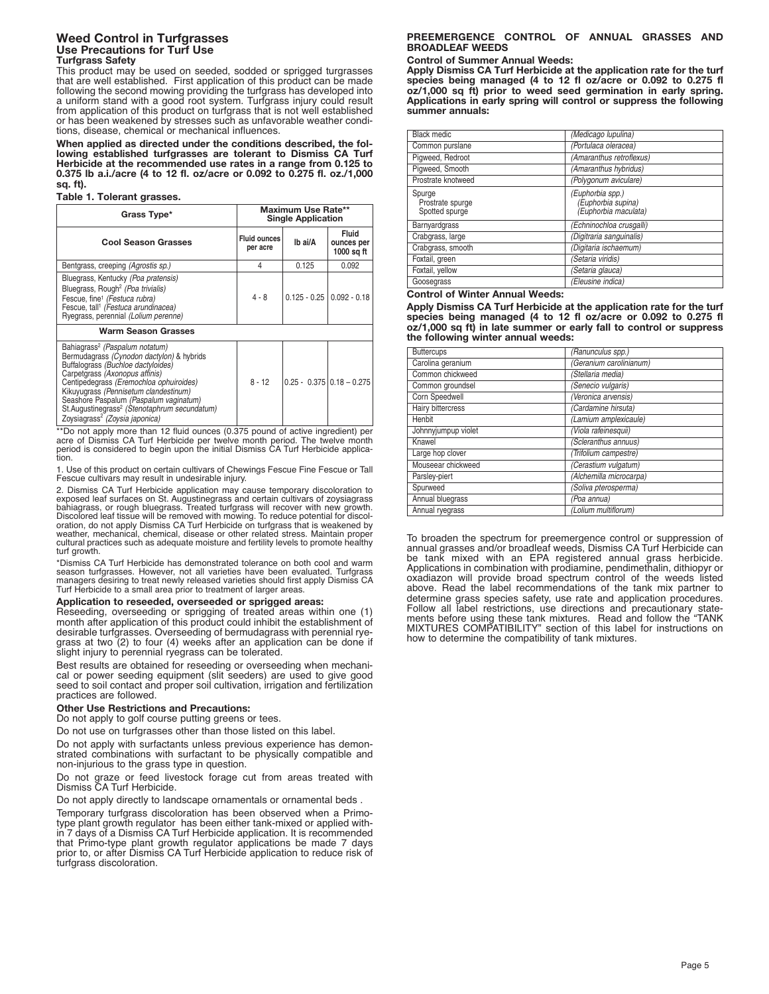#### **Weed Control in Turfgrasses Use Precautions for Turf Use Turfgrass Safety**

This product may be used on seeded, sodded or sprigged turgrasses that are well established. First application of this product can be made following the second mowing providing the turfgrass has developed into a uniform stand with a good root system. Turfgrass injury could result from application of this product on turfgrass that is not well established or has been weakened by stresses such as unfavorable weather conditions, disease, chemical or mechanical influences.

**When applied as directed under the conditions described, the following established turfgrasses are tolerant to Dismiss CA Turf Herbicide at the recommended use rates in a range from 0.125 to 0.375 lb a.i./acre (4 to 12 fl. oz/acre or 0.092 to 0.275 fl. oz./1,000 sq. ft).**

#### **Table 1. Tolerant grasses.**

| Grass Type*                                                                                                                                                                                                                                                                                                                                                                                              | Maximum Use Rate**<br><b>Single Application</b> |         |                                          |  |
|----------------------------------------------------------------------------------------------------------------------------------------------------------------------------------------------------------------------------------------------------------------------------------------------------------------------------------------------------------------------------------------------------------|-------------------------------------------------|---------|------------------------------------------|--|
| <b>Cool Season Grasses</b>                                                                                                                                                                                                                                                                                                                                                                               | <b>Fluid ounces</b><br>per acre                 | Ib ai/A | <b>Fluid</b><br>ounces per<br>1000 sq ft |  |
| Bentgrass, creeping (Agrostis sp.)                                                                                                                                                                                                                                                                                                                                                                       | 4                                               | 0.125   | 0.092                                    |  |
| Bluegrass, Kentucky (Poa pratensis)<br>Bluegrass, Rough <sup>2</sup> (Poa trivialis)<br>Fescue, fine <sup>1</sup> (Festuca rubra)<br>Fescue, tall <sup>1</sup> (Festuca arundinacea)<br>Ryegrass, perennial (Lolium perenne)                                                                                                                                                                             | $4 - 8$                                         |         | $0.125 - 0.25$   $0.092 - 0.18$          |  |
| <b>Warm Season Grasses</b>                                                                                                                                                                                                                                                                                                                                                                               |                                                 |         |                                          |  |
| Bahiagrass <sup>2</sup> (Paspalum notatum)<br>Bermudagrass (Cynodon dactylon) & hybrids<br>Buffalograss (Buchloe dactyloides)<br>Carpetgrass (Axonopus affinis)<br>Centipedegrass (Eremochloa ophuiroides)<br>Kikuyugrass (Pennisetum clandestinum)<br>Seashore Paspalum (Paspalum vaginatum)<br>St. Augustinegrass <sup>2</sup> (Stenotaphrum secundatum)<br>Zoysiagrass <sup>2</sup> (Zoysia japonica) | $8 - 12$                                        |         | $0.25 - 0.375 \mid 0.18 - 0.275$         |  |

\*\*Do not apply more than 12 fluid ounces (0.375 pound of active ingredient) per<br>acre of Dismiss CA Turf Herbicide per twelve month period. The twelve month period is considered to begin upon the initial Dismiss CA Turf Herbicide applica-<br>tion.

1. Use of this product on certain cultivars of Chewings Fescue Fine Fescue or Tall Fescue cultivars may result in undesirable injury.

2. Dismiss CA Turf Herbicide application may cause temporary discoloration to exposed leaf surfaces on St. Augustinegrass and certain cultivars of zoysiagrass bahiagrass, or rough bluegrass. Treated turfgrass will recover with new growth. Discolored leaf tissue will be removed with mowing. To reduce potential for discol-<br>oration, do not apply Dismiss CA Turf Herbicide on turfgrass that is weakened by<br>weather, mechanical, chemical, disease or other related s cultural practices such as adequate moisture and fertility levels to promote healthy turf growth.

\*Dismiss CA Turf Herbicide has demonstrated tolerance on both cool and warm<br>season turfgrasses. However, not all varieties have been evaluated. Turfgrass<br>managers desiring to treat newly released varieties should first app Turf Herbicide to a small area prior to treatment of larger areas.

#### **Application to reseeded, overseeded or sprigged areas:**

Reseeding, overseeding or sprigging of treated areas within one (1) month after application of this product could inhibit the establishment of desirable turfgrasses. Overseeding of bermudagrass with perennial ryegrass at two (2) to four (4) weeks after an application can be done if slight injury to perennial ryegrass can be tolerated.

Best results are obtained for reseeding or overseeding when mechani- cal or power seeding equipment (slit seeders) are used to give good seed to soil contact and proper soil cultivation, irrigation and fertilization practices are followed.

#### **Other Use Restrictions and Precautions:**

Do not apply to golf course putting greens or tees.

Do not use on turfgrasses other than those listed on this label.

Do not apply with surfactants unless previous experience has demonstrated combinations with surfactant to be physically compatible and non-injurious to the grass type in question.

Do not graze or feed livestock forage cut from areas treated with Dismiss CA Turf Herbicide.

Do not apply directly to landscape ornamentals or ornamental beds .

Temporary turfgrass discoloration has been observed when a Primotype plant growth regulator has been either tank-mixed or applied within 7 days of a Dismiss CA Turf Herbicide application. It is recommended that Primo-type plant growth regulator applications be made 7 days prior to, or after Dismiss CA Turf Herbicide application to reduce risk of turfgrass discoloration.

#### **PREEMERGENCE CONTROL OF ANNUAL GRASSES AND BROADLEAF WEEDS**

#### **Control of Summer Annual Weeds:**

**Apply Dismiss CA Turf Herbicide at the application rate for the turf species being managed (4 to 12 fl oz/acre or 0.092 to 0.275 fl oz/1,000 sq ft) prior to weed seed germination in early spring. Applications in early spring will control or suppress the following summer annuals:**

| <b>Black medic</b>                           | (Medicago lupulina)                                            |
|----------------------------------------------|----------------------------------------------------------------|
| Common purslane                              | (Portulaca oleracea)                                           |
| Pigweed, Redroot                             | (Amaranthus retroflexus)                                       |
| Piqweed, Smooth                              | (Amaranthus hybridus)                                          |
| Prostrate knotweed                           | (Polygonum aviculare)                                          |
| Spurge<br>Prostrate spurge<br>Spotted spurge | (Euphorbia spp.)<br>(Euphorbia supina)<br>(Euphorbia maculata) |
| Barnyardgrass                                | (Echninochloa crusgalli)                                       |
| Crabgrass, large                             | (Digitraria sanguinalis)                                       |
| Crabgrass, smooth                            | (Digitaria ischaemum)                                          |
| Foxtail, green                               | (Setaria viridis)                                              |
| Foxtail, yellow                              | (Setaria glauca)                                               |
| Goosegrass                                   | (Eleusine indica)                                              |

#### **Control of Winter Annual Weeds:**

**Apply Dismiss CA Turf Herbicide at the application rate for the turf species being managed (4 to 12 fl oz/acre or 0.092 to 0.275 fl oz/1,000 sq ft) in late summer or early fall to control or suppress the following winter annual weeds:**

| <b>Buttercups</b>   | (Ranunculus spp.)       |
|---------------------|-------------------------|
| Carolina geranium   | (Geranium carolinianum) |
| Common chickweed    | (Stellaria media)       |
| Common groundsel    | (Senecio vulgaris)      |
| Corn Speedwell      | (Veronica arvensis)     |
| Hairy bittercress   | (Cardamine hirsuta)     |
| Henbit              | (Lamium amplexicaule)   |
| Johnnyjumpup violet | (Viola rafeinesquii)    |
| Knawel              | (Scleranthus annuus)    |
| Large hop clover    | (Trifolium campestre)   |
| Mouseear chickweed  | (Cerastium vulgatum)    |
| Parsley-piert       | (Alchemilla microcarpa) |
| Spurweed            | (Soliva pterosperma)    |
| Annual bluegrass    | (Poa annua)             |
| Annual ryegrass     | (Lolium multiflorum)    |

To broaden the spectrum for preemergence control or suppression of annual grasses and/or broadleaf weeds, Dismiss CA Turf Herbicide can be tank mixed with an EPA registered annual grass herbicide. Applications in combination with prodiamine, pendimethalin, dithiopyr or oxadiazon will provide broad spectrum control of the weeds listed above. Read the label recommendations of the tank mix partner to determine grass species safety, use rate and application procedures. Follow all label restrictions, use directions and precautionary statements before using these tank mixtures. Read and follow the "TANK MIXTURES COMPATIBILITY" section of this label for instructions on how to determine the compatibility of tank mixtures.